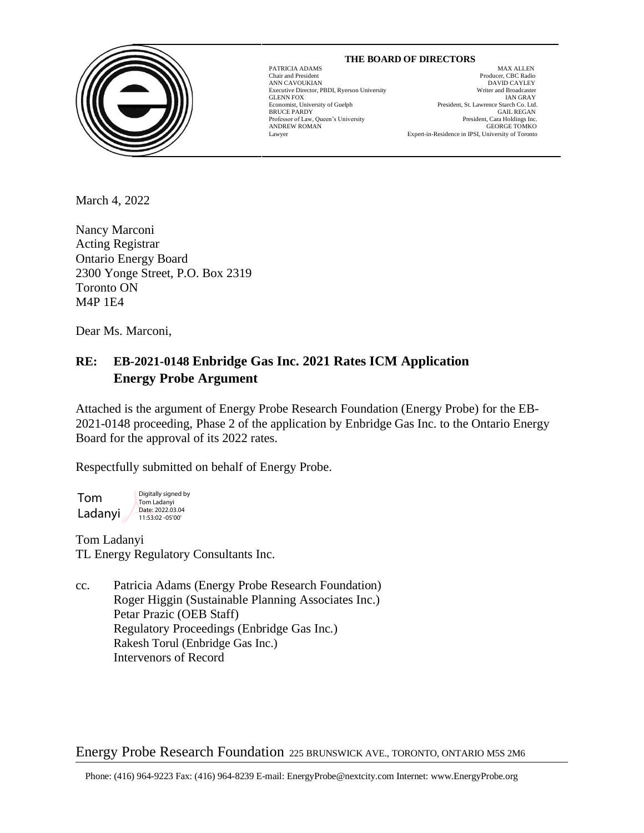

# GLENN FOX<br>GLENN FOX<br>Economist, University of Guelph

 $\overline{\phantom{a}}$ 

 **THE BOARD OF DIRECTORS** PATRICIA ADAMS MAX ALLEN

Chair and President Producer, CBC Radio ANN CAVOUKIAN DAVID CAYLEY BE EXECUTE OF THE EXECUTIVE DIRECTOR DETERMINION OF THE EXECUTIVE DIRECTOR SECUTION OF THE EXECUTION OF THE EXECUTION OF THE EXECUTION OF THE EXECUTION OF THE EXECUTION OF THE EXECUTION OF THE EX Executive Director, PBDI, Ryerson University Writer and Broadcaster President, St. Lawrence Starch Co. Ltd. BRUCE PARDY GAIL REGAN Professor of Law, Queen's University **Example 2018** President, Cara Holdings Inc. Professor of Law, Queen's University President, Cara Holdings Inc.<br>ANDREW ROMAN GEORGE TOMKO ANDREW ROMAN GEORGE TOMKO Lawyer Expert-in-Residence in IPSI, University of Toronto

March 4, 2022

Nancy Marconi Acting Registrar Ontario Energy Board 2300 Yonge Street, P.O. Box 2319 Toronto ON M4P 1E4

Dear Ms. Marconi,

# **RE: EB-2021-0148 Enbridge Gas Inc. 2021 Rates ICM Application Energy Probe Argument**

Attached is the argument of Energy Probe Research Foundation (Energy Probe) for the EB-2021-0148 proceeding, Phase 2 of the application by Enbridge Gas Inc. to the Ontario Energy Board for the approval of its 2022 rates.

Respectfully submitted on behalf of Energy Probe.

Tom Ladanyi Digitally signed by Tom Ladanyi Date: 2022.03.04 11:53:02 -05'00'

Tom Ladanyi TL Energy Regulatory Consultants Inc.

cc. Patricia Adams (Energy Probe Research Foundation) Roger Higgin (Sustainable Planning Associates Inc.) Petar Prazic (OEB Staff) Regulatory Proceedings (Enbridge Gas Inc.) Rakesh Torul (Enbridge Gas Inc.) Intervenors of Record

Energy Probe Research Foundation 225 BRUNSWICK AVE., TORONTO, ONTARIO M5S 2M6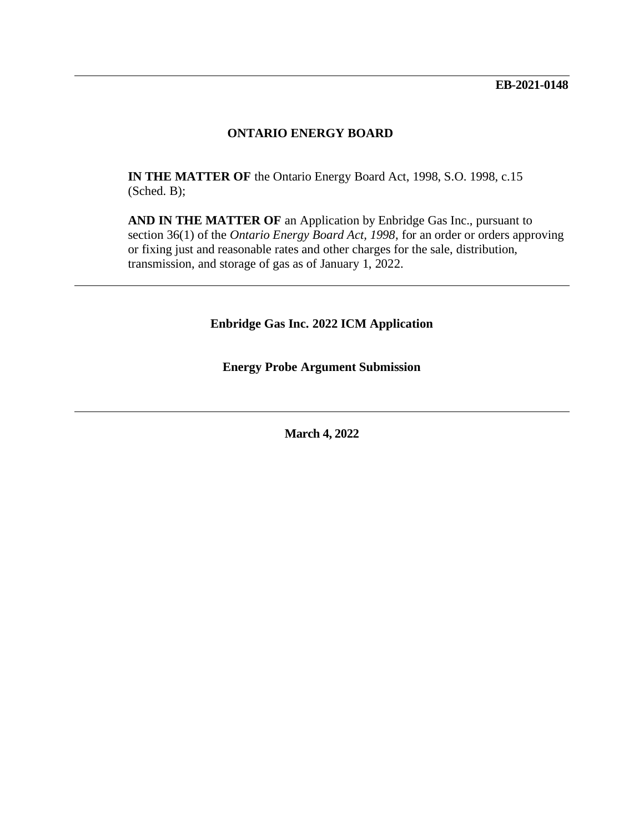#### **ONTARIO ENERGY BOARD**

**IN THE MATTER OF** the Ontario Energy Board Act, 1998, S.O. 1998, c.15 (Sched. B);

**AND IN THE MATTER OF** an Application by Enbridge Gas Inc., pursuant to section 36(1) of the *Ontario Energy Board Act, 1998*, for an order or orders approving or fixing just and reasonable rates and other charges for the sale, distribution, transmission, and storage of gas as of January 1, 2022.

**Enbridge Gas Inc. 2022 ICM Application**

**Energy Probe Argument Submission**

**March 4, 2022**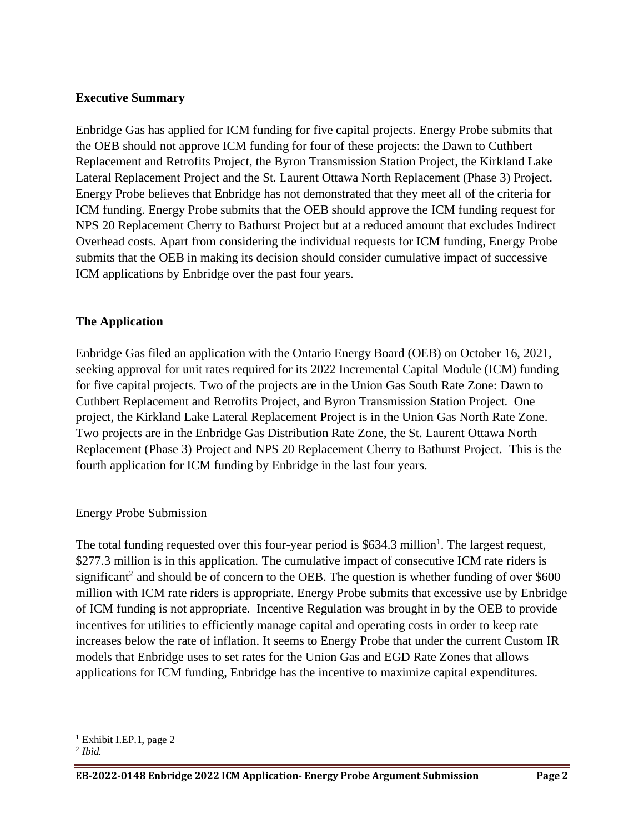# **Executive Summary**

Enbridge Gas has applied for ICM funding for five capital projects. Energy Probe submits that the OEB should not approve ICM funding for four of these projects: the Dawn to Cuthbert Replacement and Retrofits Project, the Byron Transmission Station Project, the Kirkland Lake Lateral Replacement Project and the St. Laurent Ottawa North Replacement (Phase 3) Project. Energy Probe believes that Enbridge has not demonstrated that they meet all of the criteria for ICM funding. Energy Probe submits that the OEB should approve the ICM funding request for NPS 20 Replacement Cherry to Bathurst Project but at a reduced amount that excludes Indirect Overhead costs. Apart from considering the individual requests for ICM funding, Energy Probe submits that the OEB in making its decision should consider cumulative impact of successive ICM applications by Enbridge over the past four years.

# **The Application**

Enbridge Gas filed an application with the Ontario Energy Board (OEB) on October 16, 2021, seeking approval for unit rates required for its 2022 Incremental Capital Module (ICM) funding for five capital projects. Two of the projects are in the Union Gas South Rate Zone: Dawn to Cuthbert Replacement and Retrofits Project, and Byron Transmission Station Project. One project, the Kirkland Lake Lateral Replacement Project is in the Union Gas North Rate Zone. Two projects are in the Enbridge Gas Distribution Rate Zone, the St. Laurent Ottawa North Replacement (Phase 3) Project and NPS 20 Replacement Cherry to Bathurst Project. This is the fourth application for ICM funding by Enbridge in the last four years.

# Energy Probe Submission

The total funding requested over this four-year period is  $$634.3$  million<sup>1</sup>. The largest request, \$277.3 million is in this application. The cumulative impact of consecutive ICM rate riders is significant<sup>2</sup> and should be of concern to the OEB. The question is whether funding of over  $$600$ million with ICM rate riders is appropriate. Energy Probe submits that excessive use by Enbridge of ICM funding is not appropriate. Incentive Regulation was brought in by the OEB to provide incentives for utilities to efficiently manage capital and operating costs in order to keep rate increases below the rate of inflation. It seems to Energy Probe that under the current Custom IR models that Enbridge uses to set rates for the Union Gas and EGD Rate Zones that allows applications for ICM funding, Enbridge has the incentive to maximize capital expenditures.

 $<sup>1</sup>$  Exhibit I.EP.1, page 2</sup>

<sup>2</sup> *Ibid.*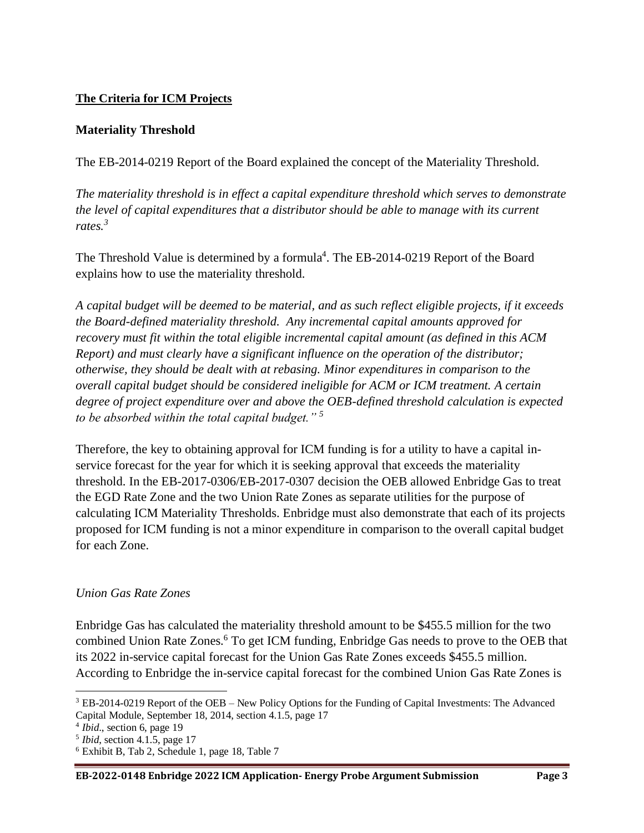# **The Criteria for ICM Projects**

# **Materiality Threshold**

The EB-2014-0219 Report of the Board explained the concept of the Materiality Threshold.

*The materiality threshold is in effect a capital expenditure threshold which serves to demonstrate the level of capital expenditures that a distributor should be able to manage with its current rates.<sup>3</sup>* 

The Threshold Value is determined by a formula<sup>4</sup>. The EB-2014-0219 Report of the Board explains how to use the materiality threshold.

*A capital budget will be deemed to be material, and as such reflect eligible projects, if it exceeds the Board-defined materiality threshold. Any incremental capital amounts approved for recovery must fit within the total eligible incremental capital amount (as defined in this ACM Report) and must clearly have a significant influence on the operation of the distributor; otherwise, they should be dealt with at rebasing. Minor expenditures in comparison to the overall capital budget should be considered ineligible for ACM or ICM treatment. A certain degree of project expenditure over and above the OEB-defined threshold calculation is expected to be absorbed within the total capital budget." <sup>5</sup>*

Therefore, the key to obtaining approval for ICM funding is for a utility to have a capital inservice forecast for the year for which it is seeking approval that exceeds the materiality threshold. In the EB-2017-0306/EB-2017-0307 decision the OEB allowed Enbridge Gas to treat the EGD Rate Zone and the two Union Rate Zones as separate utilities for the purpose of calculating ICM Materiality Thresholds. Enbridge must also demonstrate that each of its projects proposed for ICM funding is not a minor expenditure in comparison to the overall capital budget for each Zone.

# *Union Gas Rate Zones*

Enbridge Gas has calculated the materiality threshold amount to be \$455.5 million for the two combined Union Rate Zones.<sup>6</sup> To get ICM funding, Enbridge Gas needs to prove to the OEB that its 2022 in-service capital forecast for the Union Gas Rate Zones exceeds \$455.5 million. According to Enbridge the in-service capital forecast for the combined Union Gas Rate Zones is

<sup>3</sup> EB-2014-0219 Report of the OEB – New Policy Options for the Funding of Capital Investments: The Advanced Capital Module, September 18, 2014, section 4.1.5, page 17

<sup>4</sup> *Ibid*., section 6, page 19

<sup>5</sup> *Ibid*, section 4.1.5, page 17

<sup>6</sup> Exhibit B, Tab 2, Schedule 1, page 18, Table 7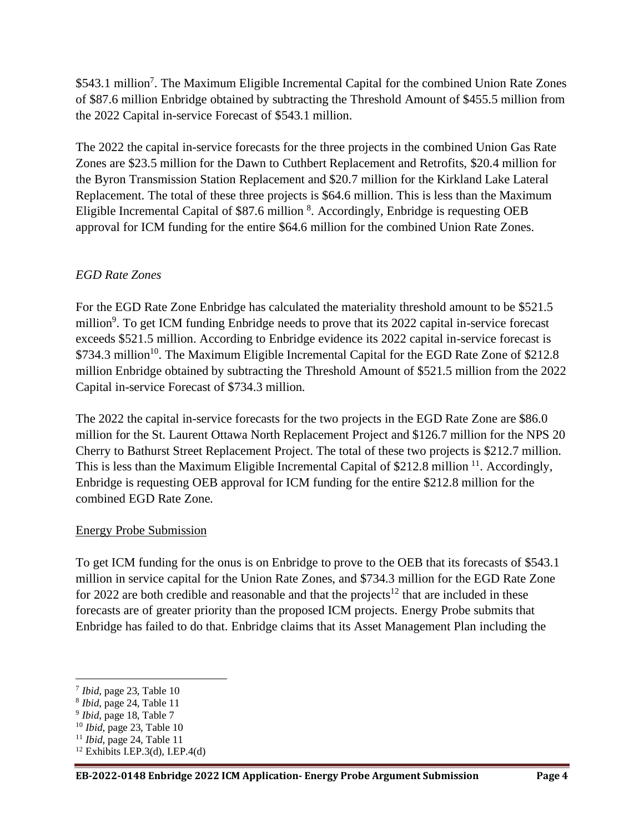\$543.1 million<sup>7</sup>. The Maximum Eligible Incremental Capital for the combined Union Rate Zones of \$87.6 million Enbridge obtained by subtracting the Threshold Amount of \$455.5 million from the 2022 Capital in-service Forecast of \$543.1 million.

The 2022 the capital in-service forecasts for the three projects in the combined Union Gas Rate Zones are \$23.5 million for the Dawn to Cuthbert Replacement and Retrofits, \$20.4 million for the Byron Transmission Station Replacement and \$20.7 million for the Kirkland Lake Lateral Replacement. The total of these three projects is \$64.6 million. This is less than the Maximum Eligible Incremental Capital of \$87.6 million <sup>8</sup>. Accordingly, Enbridge is requesting OEB approval for ICM funding for the entire \$64.6 million for the combined Union Rate Zones.

# *EGD Rate Zones*

For the EGD Rate Zone Enbridge has calculated the materiality threshold amount to be \$521.5 million<sup>9</sup>. To get ICM funding Enbridge needs to prove that its 2022 capital in-service forecast exceeds \$521.5 million. According to Enbridge evidence its 2022 capital in-service forecast is \$734.3 million<sup>10</sup>. The Maximum Eligible Incremental Capital for the EGD Rate Zone of \$212.8 million Enbridge obtained by subtracting the Threshold Amount of \$521.5 million from the 2022 Capital in-service Forecast of \$734.3 million.

The 2022 the capital in-service forecasts for the two projects in the EGD Rate Zone are \$86.0 million for the St. Laurent Ottawa North Replacement Project and \$126.7 million for the NPS 20 Cherry to Bathurst Street Replacement Project. The total of these two projects is \$212.7 million. This is less than the Maximum Eligible Incremental Capital of \$212.8 million <sup>11</sup>. Accordingly, Enbridge is requesting OEB approval for ICM funding for the entire \$212.8 million for the combined EGD Rate Zone.

# Energy Probe Submission

To get ICM funding for the onus is on Enbridge to prove to the OEB that its forecasts of \$543.1 million in service capital for the Union Rate Zones, and \$734.3 million for the EGD Rate Zone for 2022 are both credible and reasonable and that the projects<sup>12</sup> that are included in these forecasts are of greater priority than the proposed ICM projects. Energy Probe submits that Enbridge has failed to do that. Enbridge claims that its Asset Management Plan including the

<sup>7</sup> *Ibid*, page 23, Table 10

<sup>8</sup> *Ibid*, page 24, Table 11

<sup>9</sup> *Ibid*, page 18, Table 7

<sup>10</sup> *Ibid*, page 23, Table 10

<sup>11</sup> *Ibid*, page 24, Table 11

 $12$  Exhibits I.EP.3(d), I.EP.4(d)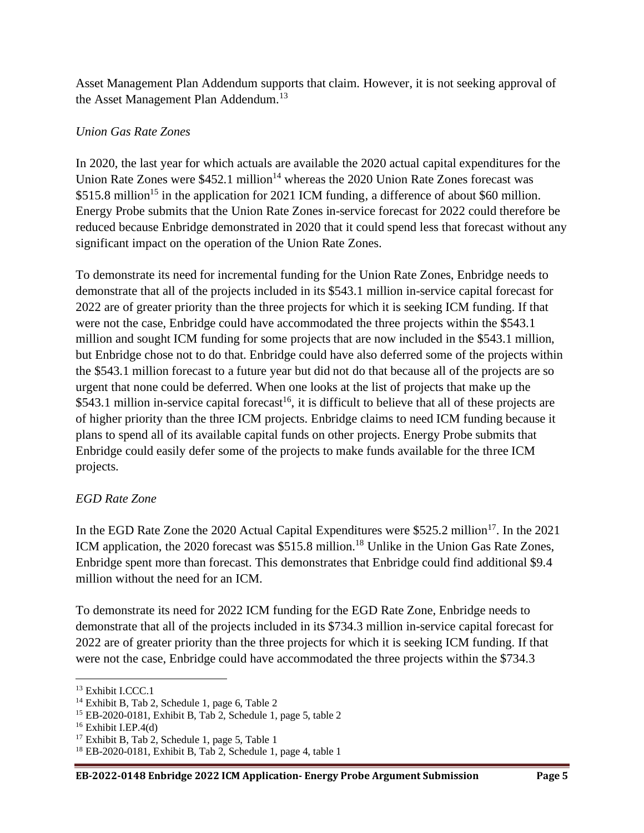Asset Management Plan Addendum supports that claim. However, it is not seeking approval of the Asset Management Plan Addendum.<sup>13</sup>

# *Union Gas Rate Zones*

In 2020, the last year for which actuals are available the 2020 actual capital expenditures for the Union Rate Zones were  $$452.1$  million<sup>14</sup> whereas the 2020 Union Rate Zones forecast was \$515.8 million<sup>15</sup> in the application for 2021 ICM funding, a difference of about \$60 million. Energy Probe submits that the Union Rate Zones in-service forecast for 2022 could therefore be reduced because Enbridge demonstrated in 2020 that it could spend less that forecast without any significant impact on the operation of the Union Rate Zones.

To demonstrate its need for incremental funding for the Union Rate Zones, Enbridge needs to demonstrate that all of the projects included in its \$543.1 million in-service capital forecast for 2022 are of greater priority than the three projects for which it is seeking ICM funding. If that were not the case, Enbridge could have accommodated the three projects within the \$543.1 million and sought ICM funding for some projects that are now included in the \$543.1 million, but Enbridge chose not to do that. Enbridge could have also deferred some of the projects within the \$543.1 million forecast to a future year but did not do that because all of the projects are so urgent that none could be deferred. When one looks at the list of projects that make up the \$543.1 million in-service capital forecast<sup>16</sup>, it is difficult to believe that all of these projects are of higher priority than the three ICM projects. Enbridge claims to need ICM funding because it plans to spend all of its available capital funds on other projects. Energy Probe submits that Enbridge could easily defer some of the projects to make funds available for the three ICM projects.

# *EGD Rate Zone*

In the EGD Rate Zone the 2020 Actual Capital Expenditures were  $$525.2$  million<sup>17</sup>. In the 2021 ICM application, the 2020 forecast was \$515.8 million.<sup>18</sup> Unlike in the Union Gas Rate Zones, Enbridge spent more than forecast. This demonstrates that Enbridge could find additional \$9.4 million without the need for an ICM.

To demonstrate its need for 2022 ICM funding for the EGD Rate Zone, Enbridge needs to demonstrate that all of the projects included in its \$734.3 million in-service capital forecast for 2022 are of greater priority than the three projects for which it is seeking ICM funding. If that were not the case, Enbridge could have accommodated the three projects within the \$734.3

<sup>&</sup>lt;sup>13</sup> Exhibit I.CCC.1

<sup>14</sup> Exhibit B, Tab 2, Schedule 1, page 6, Table 2

<sup>&</sup>lt;sup>15</sup> EB-2020-0181, Exhibit B, Tab 2, Schedule 1, page 5, table 2

 $16$  Exhibit I.EP.4(d)

<sup>17</sup> Exhibit B, Tab 2, Schedule 1, page 5, Table 1

 $18$  EB-2020-0181, Exhibit B, Tab 2, Schedule 1, page 4, table 1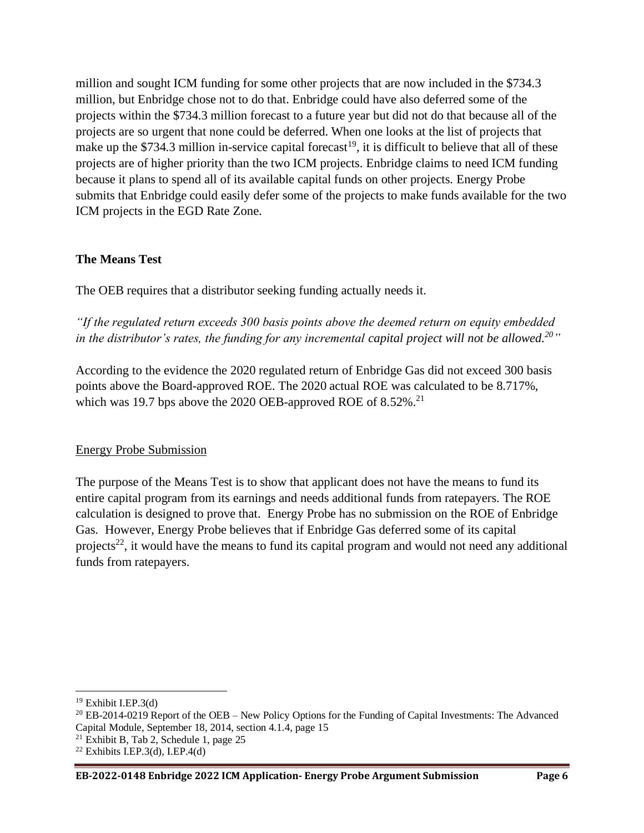million and sought ICM funding for some other projects that are now included in the \$734.3 million, but Enbridge chose not to do that. Enbridge could have also deferred some of the projects within the \$734.3 million forecast to a future year but did not do that because all of the projects are so urgent that none could be deferred. When one looks at the list of projects that make up the \$734.3 million in-service capital forecast<sup>19</sup>, it is difficult to believe that all of these projects are of higher priority than the two ICM projects. Enbridge claims to need ICM funding because it plans to spend all of its available capital funds on other projects. Energy Probe submits that Enbridge could easily defer some of the projects to make funds available for the two ICM projects in the EGD Rate Zone.

# **The Means Test**

The OEB requires that a distributor seeking funding actually needs it.

*"If the regulated return exceeds 300 basis points above the deemed return on equity embedded in the distributor's rates, the funding for any incremental capital project will not be allowed.<sup>20</sup>"*

According to the evidence the 2020 regulated return of Enbridge Gas did not exceed 300 basis points above the Board-approved ROE. The 2020 actual ROE was calculated to be 8.717%, which was 19.7 bps above the  $2020$  OEB-approved ROE of  $8.52\%$ .<sup>21</sup>

# Energy Probe Submission

The purpose of the Means Test is to show that applicant does not have the means to fund its entire capital program from its earnings and needs additional funds from ratepayers. The ROE calculation is designed to prove that. Energy Probe has no submission on the ROE of Enbridge Gas. However, Energy Probe believes that if Enbridge Gas deferred some of its capital projects<sup>22</sup>, it would have the means to fund its capital program and would not need any additional funds from ratepayers.

 $21$  Exhibit B, Tab 2, Schedule 1, page 25

 $19$  Exhibit I.EP.3(d)

<sup>&</sup>lt;sup>20</sup> EB-2014-0219 Report of the OEB – New Policy Options for the Funding of Capital Investments: The Advanced Capital Module, September 18, 2014, section 4.1.4, page 15

 $22$  Exhibits I.EP.3(d), I.EP.4(d)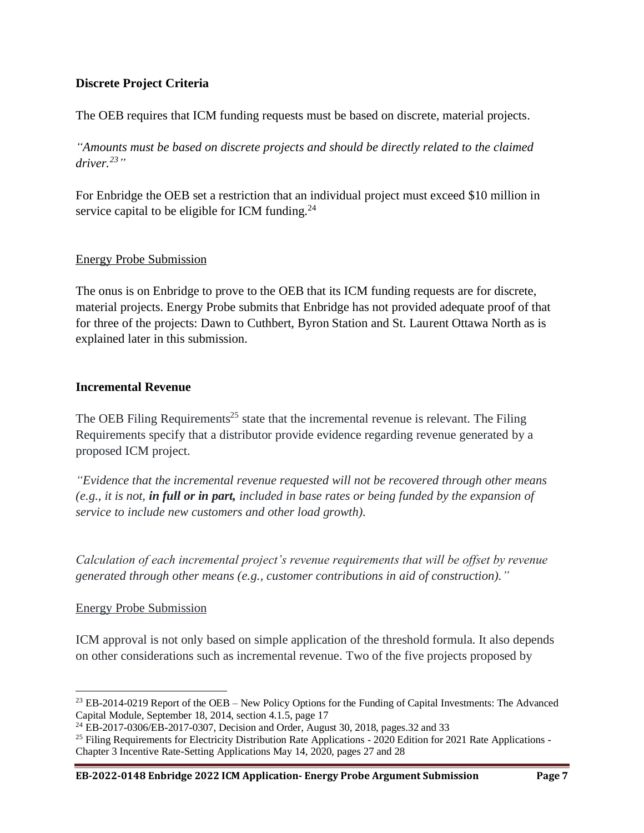# **Discrete Project Criteria**

The OEB requires that ICM funding requests must be based on discrete, material projects.

*"Amounts must be based on discrete projects and should be directly related to the claimed driver.<sup>23</sup>"*

For Enbridge the OEB set a restriction that an individual project must exceed \$10 million in service capital to be eligible for ICM funding. $^{24}$ 

# Energy Probe Submission

The onus is on Enbridge to prove to the OEB that its ICM funding requests are for discrete, material projects. Energy Probe submits that Enbridge has not provided adequate proof of that for three of the projects: Dawn to Cuthbert, Byron Station and St. Laurent Ottawa North as is explained later in this submission.

#### **Incremental Revenue**

The OEB Filing Requirements<sup>25</sup> state that the incremental revenue is relevant. The Filing Requirements specify that a distributor provide evidence regarding revenue generated by a proposed ICM project.

*"Evidence that the incremental revenue requested will not be recovered through other means (e.g., it is not, in full or in part, included in base rates or being funded by the expansion of service to include new customers and other load growth).*

*Calculation of each incremental project's revenue requirements that will be offset by revenue generated through other means (e.g., customer contributions in aid of construction)."*

# Energy Probe Submission

ICM approval is not only based on simple application of the threshold formula. It also depends on other considerations such as incremental revenue. Two of the five projects proposed by

<sup>&</sup>lt;sup>23</sup> EB-2014-0219 Report of the OEB – New Policy Options for the Funding of Capital Investments: The Advanced Capital Module, September 18, 2014, section 4.1.5, page 17

<sup>24</sup> EB-2017-0306/EB-2017-0307, Decision and Order, August 30, 2018, pages.32 and 33

<sup>&</sup>lt;sup>25</sup> Filing Requirements for Electricity Distribution Rate Applications - 2020 Edition for 2021 Rate Applications -Chapter 3 Incentive Rate-Setting Applications May 14, 2020, pages 27 and 28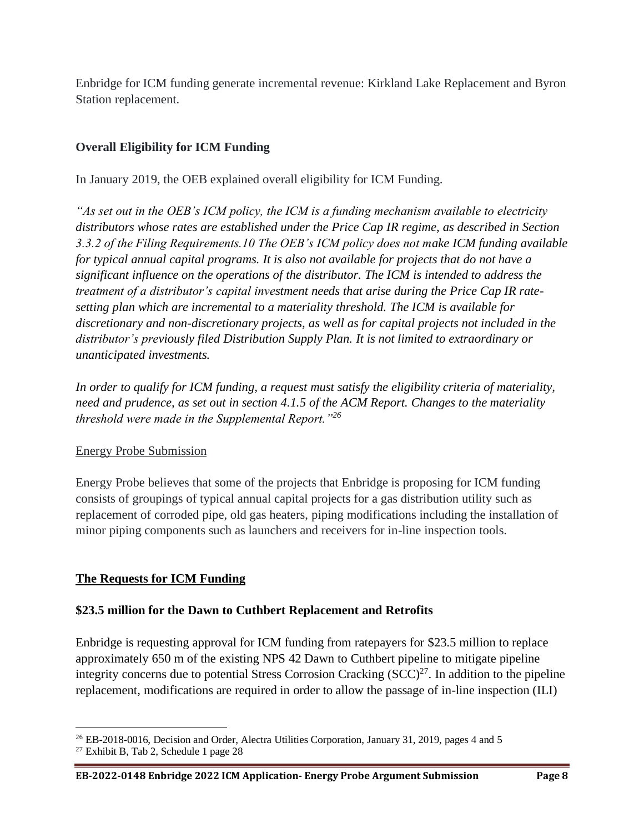Enbridge for ICM funding generate incremental revenue: Kirkland Lake Replacement and Byron Station replacement.

# **Overall Eligibility for ICM Funding**

In January 2019, the OEB explained overall eligibility for ICM Funding.

*"As set out in the OEB's ICM policy, the ICM is a funding mechanism available to electricity distributors whose rates are established under the Price Cap IR regime, as described in Section 3.3.2 of the Filing Requirements.10 The OEB's ICM policy does not make ICM funding available for typical annual capital programs. It is also not available for projects that do not have a significant influence on the operations of the distributor. The ICM is intended to address the treatment of a distributor's capital investment needs that arise during the Price Cap IR ratesetting plan which are incremental to a materiality threshold. The ICM is available for discretionary and non-discretionary projects, as well as for capital projects not included in the distributor's previously filed Distribution Supply Plan. It is not limited to extraordinary or unanticipated investments.* 

*In order to qualify for ICM funding, a request must satisfy the eligibility criteria of materiality, need and prudence, as set out in section 4.1.5 of the ACM Report. Changes to the materiality threshold were made in the Supplemental Report."<sup>26</sup>*

# Energy Probe Submission

Energy Probe believes that some of the projects that Enbridge is proposing for ICM funding consists of groupings of typical annual capital projects for a gas distribution utility such as replacement of corroded pipe, old gas heaters, piping modifications including the installation of minor piping components such as launchers and receivers for in-line inspection tools.

# **The Requests for ICM Funding**

# **\$23.5 million for the Dawn to Cuthbert Replacement and Retrofits**

Enbridge is requesting approval for ICM funding from ratepayers for \$23.5 million to replace approximately 650 m of the existing NPS 42 Dawn to Cuthbert pipeline to mitigate pipeline integrity concerns due to potential Stress Corrosion Cracking  $(SCC)^{27}$ . In addition to the pipeline replacement, modifications are required in order to allow the passage of in-line inspection (ILI)

<sup>&</sup>lt;sup>26</sup> EB-2018-0016, Decision and Order, Alectra Utilities Corporation, January 31, 2019, pages 4 and 5

<sup>27</sup> Exhibit B, Tab 2, Schedule 1 page 28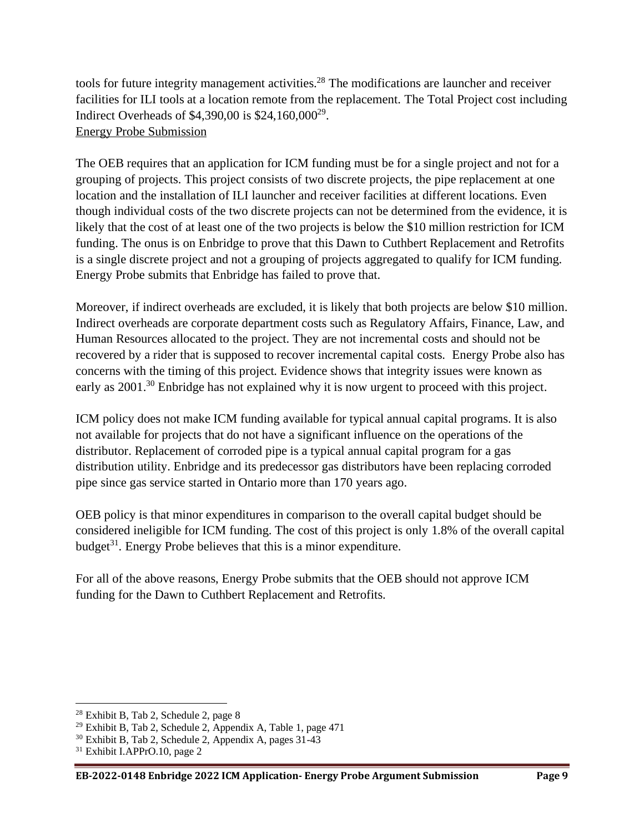tools for future integrity management activities.<sup>28</sup> The modifications are launcher and receiver facilities for ILI tools at a location remote from the replacement. The Total Project cost including Indirect Overheads of \$4,390,00 is \$24,160,000<sup>29</sup>. Energy Probe Submission

The OEB requires that an application for ICM funding must be for a single project and not for a grouping of projects. This project consists of two discrete projects, the pipe replacement at one location and the installation of ILI launcher and receiver facilities at different locations. Even though individual costs of the two discrete projects can not be determined from the evidence, it is likely that the cost of at least one of the two projects is below the \$10 million restriction for ICM funding. The onus is on Enbridge to prove that this Dawn to Cuthbert Replacement and Retrofits is a single discrete project and not a grouping of projects aggregated to qualify for ICM funding. Energy Probe submits that Enbridge has failed to prove that.

Moreover, if indirect overheads are excluded, it is likely that both projects are below \$10 million. Indirect overheads are corporate department costs such as Regulatory Affairs, Finance, Law, and Human Resources allocated to the project. They are not incremental costs and should not be recovered by a rider that is supposed to recover incremental capital costs. Energy Probe also has concerns with the timing of this project. Evidence shows that integrity issues were known as early as 2001.<sup>30</sup> Enbridge has not explained why it is now urgent to proceed with this project.

ICM policy does not make ICM funding available for typical annual capital programs. It is also not available for projects that do not have a significant influence on the operations of the distributor. Replacement of corroded pipe is a typical annual capital program for a gas distribution utility. Enbridge and its predecessor gas distributors have been replacing corroded pipe since gas service started in Ontario more than 170 years ago.

OEB policy is that minor expenditures in comparison to the overall capital budget should be considered ineligible for ICM funding. The cost of this project is only 1.8% of the overall capital budget<sup>31</sup>. Energy Probe believes that this is a minor expenditure.

For all of the above reasons, Energy Probe submits that the OEB should not approve ICM funding for the Dawn to Cuthbert Replacement and Retrofits.

<sup>28</sup> Exhibit B, Tab 2, Schedule 2, page 8

<sup>29</sup> Exhibit B, Tab 2, Schedule 2, Appendix A, Table 1, page 471

<sup>30</sup> Exhibit B, Tab 2, Schedule 2, Appendix A, pages 31-43

<sup>31</sup> Exhibit I.APPrO.10, page 2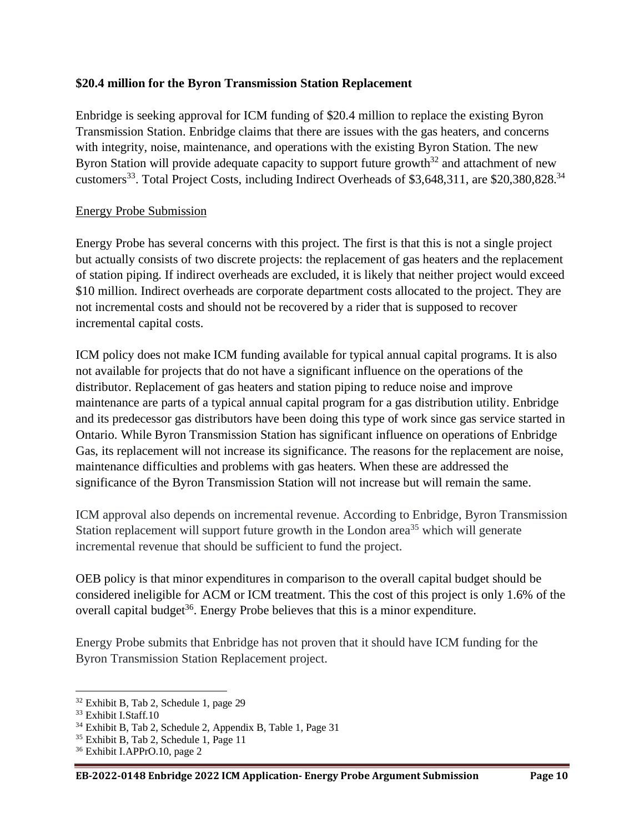# **\$20.4 million for the Byron Transmission Station Replacement**

Enbridge is seeking approval for ICM funding of \$20.4 million to replace the existing Byron Transmission Station. Enbridge claims that there are issues with the gas heaters, and concerns with integrity, noise, maintenance, and operations with the existing Byron Station. The new Byron Station will provide adequate capacity to support future growth<sup>32</sup> and attachment of new customers<sup>33</sup>. Total Project Costs, including Indirect Overheads of \$3,648,311, are \$20,380,828.<sup>34</sup>

#### Energy Probe Submission

Energy Probe has several concerns with this project. The first is that this is not a single project but actually consists of two discrete projects: the replacement of gas heaters and the replacement of station piping. If indirect overheads are excluded, it is likely that neither project would exceed \$10 million. Indirect overheads are corporate department costs allocated to the project. They are not incremental costs and should not be recovered by a rider that is supposed to recover incremental capital costs.

ICM policy does not make ICM funding available for typical annual capital programs. It is also not available for projects that do not have a significant influence on the operations of the distributor. Replacement of gas heaters and station piping to reduce noise and improve maintenance are parts of a typical annual capital program for a gas distribution utility. Enbridge and its predecessor gas distributors have been doing this type of work since gas service started in Ontario. While Byron Transmission Station has significant influence on operations of Enbridge Gas, its replacement will not increase its significance. The reasons for the replacement are noise, maintenance difficulties and problems with gas heaters. When these are addressed the significance of the Byron Transmission Station will not increase but will remain the same.

ICM approval also depends on incremental revenue. According to Enbridge, Byron Transmission Station replacement will support future growth in the London area<sup>35</sup> which will generate incremental revenue that should be sufficient to fund the project.

OEB policy is that minor expenditures in comparison to the overall capital budget should be considered ineligible for ACM or ICM treatment. This the cost of this project is only 1.6% of the overall capital budget<sup>36</sup>. Energy Probe believes that this is a minor expenditure.

Energy Probe submits that Enbridge has not proven that it should have ICM funding for the Byron Transmission Station Replacement project.

<sup>32</sup> Exhibit B, Tab 2, Schedule 1, page 29

<sup>33</sup> Exhibit I.Staff.10

<sup>34</sup> Exhibit B, Tab 2, Schedule 2, Appendix B, Table 1, Page 31

<sup>35</sup> Exhibit B, Tab 2, Schedule 1, Page 11

<sup>36</sup> Exhibit I.APPrO.10, page 2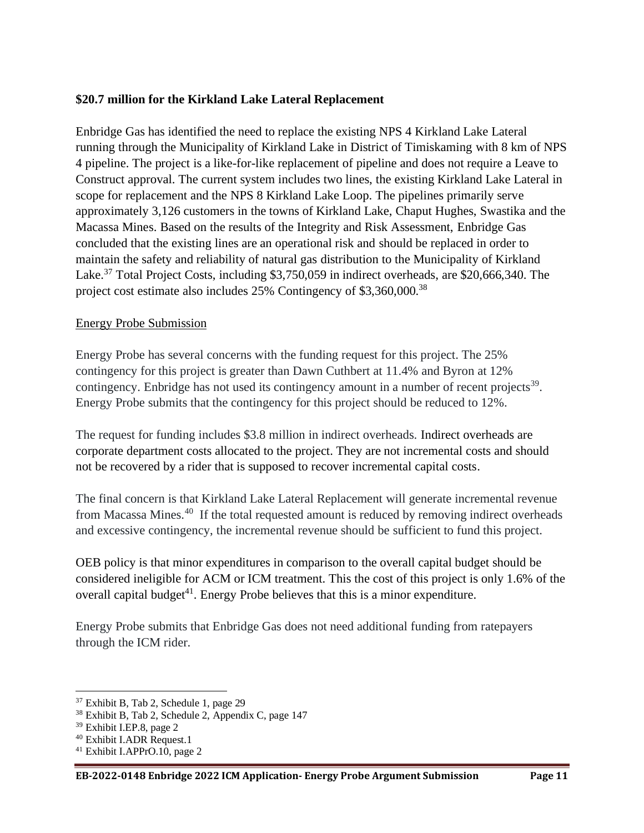# **\$20.7 million for the Kirkland Lake Lateral Replacement**

Enbridge Gas has identified the need to replace the existing NPS 4 Kirkland Lake Lateral running through the Municipality of Kirkland Lake in District of Timiskaming with 8 km of NPS 4 pipeline. The project is a like-for-like replacement of pipeline and does not require a Leave to Construct approval. The current system includes two lines, the existing Kirkland Lake Lateral in scope for replacement and the NPS 8 Kirkland Lake Loop. The pipelines primarily serve approximately 3,126 customers in the towns of Kirkland Lake, Chaput Hughes, Swastika and the Macassa Mines. Based on the results of the Integrity and Risk Assessment, Enbridge Gas concluded that the existing lines are an operational risk and should be replaced in order to maintain the safety and reliability of natural gas distribution to the Municipality of Kirkland Lake.<sup>37</sup> Total Project Costs, including \$3,750,059 in indirect overheads, are \$20,666,340. The project cost estimate also includes 25% Contingency of \$3,360,000.<sup>38</sup>

#### Energy Probe Submission

Energy Probe has several concerns with the funding request for this project. The 25% contingency for this project is greater than Dawn Cuthbert at 11.4% and Byron at 12% contingency. Enbridge has not used its contingency amount in a number of recent projects<sup>39</sup>. Energy Probe submits that the contingency for this project should be reduced to 12%.

The request for funding includes \$3.8 million in indirect overheads. Indirect overheads are corporate department costs allocated to the project. They are not incremental costs and should not be recovered by a rider that is supposed to recover incremental capital costs.

The final concern is that Kirkland Lake Lateral Replacement will generate incremental revenue from Macassa Mines.<sup>40</sup> If the total requested amount is reduced by removing indirect overheads and excessive contingency, the incremental revenue should be sufficient to fund this project.

OEB policy is that minor expenditures in comparison to the overall capital budget should be considered ineligible for ACM or ICM treatment. This the cost of this project is only 1.6% of the overall capital budget<sup>41</sup>. Energy Probe believes that this is a minor expenditure.

Energy Probe submits that Enbridge Gas does not need additional funding from ratepayers through the ICM rider.

<sup>37</sup> Exhibit B, Tab 2, Schedule 1, page 29

<sup>38</sup> Exhibit B, Tab 2, Schedule 2, Appendix C, page 147

<sup>39</sup> Exhibit I.EP.8, page 2

<sup>40</sup> Exhibit I.ADR Request.1

<sup>41</sup> Exhibit I.APPrO.10, page 2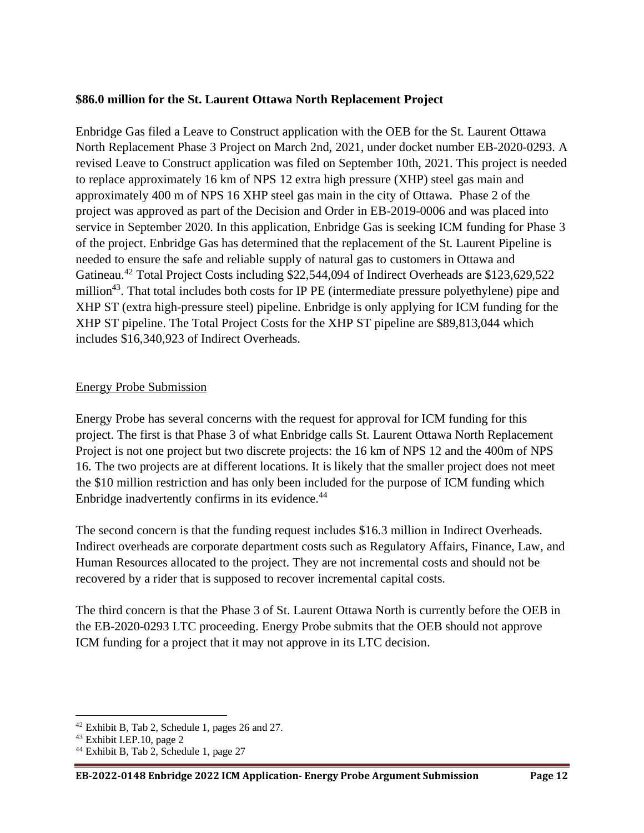# **\$86.0 million for the St. Laurent Ottawa North Replacement Project**

Enbridge Gas filed a Leave to Construct application with the OEB for the St. Laurent Ottawa North Replacement Phase 3 Project on March 2nd, 2021, under docket number EB-2020-0293. A revised Leave to Construct application was filed on September 10th, 2021. This project is needed to replace approximately 16 km of NPS 12 extra high pressure (XHP) steel gas main and approximately 400 m of NPS 16 XHP steel gas main in the city of Ottawa. Phase 2 of the project was approved as part of the Decision and Order in EB-2019-0006 and was placed into service in September 2020. In this application, Enbridge Gas is seeking ICM funding for Phase 3 of the project. Enbridge Gas has determined that the replacement of the St. Laurent Pipeline is needed to ensure the safe and reliable supply of natural gas to customers in Ottawa and Gatineau.<sup>42</sup> Total Project Costs including \$22,544,094 of Indirect Overheads are \$123,629,522 million<sup>43</sup>. That total includes both costs for IP PE (intermediate pressure polyethylene) pipe and XHP ST (extra high-pressure steel) pipeline. Enbridge is only applying for ICM funding for the XHP ST pipeline. The Total Project Costs for the XHP ST pipeline are \$89,813,044 which includes \$16,340,923 of Indirect Overheads.

# Energy Probe Submission

Energy Probe has several concerns with the request for approval for ICM funding for this project. The first is that Phase 3 of what Enbridge calls St. Laurent Ottawa North Replacement Project is not one project but two discrete projects: the 16 km of NPS 12 and the 400m of NPS 16. The two projects are at different locations. It is likely that the smaller project does not meet the \$10 million restriction and has only been included for the purpose of ICM funding which Enbridge inadvertently confirms in its evidence.<sup>44</sup>

The second concern is that the funding request includes \$16.3 million in Indirect Overheads. Indirect overheads are corporate department costs such as Regulatory Affairs, Finance, Law, and Human Resources allocated to the project. They are not incremental costs and should not be recovered by a rider that is supposed to recover incremental capital costs.

The third concern is that the Phase 3 of St. Laurent Ottawa North is currently before the OEB in the EB-2020-0293 LTC proceeding. Energy Probe submits that the OEB should not approve ICM funding for a project that it may not approve in its LTC decision.

<sup>42</sup> Exhibit B, Tab 2, Schedule 1, pages 26 and 27.

 $43$  Exhibit I.EP.10, page 2

<sup>44</sup> Exhibit B, Tab 2, Schedule 1, page 27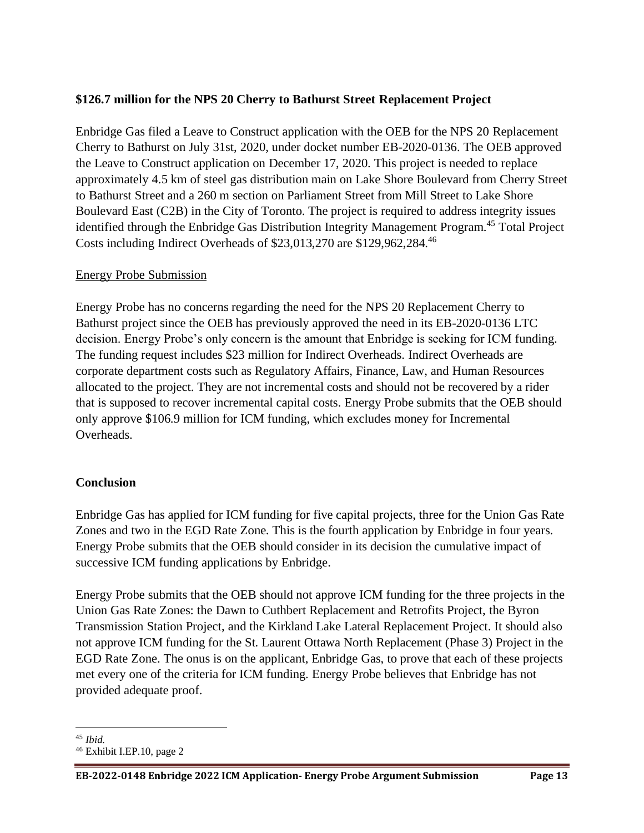# **\$126.7 million for the NPS 20 Cherry to Bathurst Street Replacement Project**

Enbridge Gas filed a Leave to Construct application with the OEB for the NPS 20 Replacement Cherry to Bathurst on July 31st, 2020, under docket number EB-2020-0136. The OEB approved the Leave to Construct application on December 17, 2020. This project is needed to replace approximately 4.5 km of steel gas distribution main on Lake Shore Boulevard from Cherry Street to Bathurst Street and a 260 m section on Parliament Street from Mill Street to Lake Shore Boulevard East (C2B) in the City of Toronto. The project is required to address integrity issues identified through the Enbridge Gas Distribution Integrity Management Program.<sup>45</sup> Total Project Costs including Indirect Overheads of \$23,013,270 are \$129,962,284.<sup>46</sup>

#### Energy Probe Submission

Energy Probe has no concerns regarding the need for the NPS 20 Replacement Cherry to Bathurst project since the OEB has previously approved the need in its EB-2020-0136 LTC decision. Energy Probe's only concern is the amount that Enbridge is seeking for ICM funding. The funding request includes \$23 million for Indirect Overheads. Indirect Overheads are corporate department costs such as Regulatory Affairs, Finance, Law, and Human Resources allocated to the project. They are not incremental costs and should not be recovered by a rider that is supposed to recover incremental capital costs. Energy Probe submits that the OEB should only approve \$106.9 million for ICM funding, which excludes money for Incremental Overheads.

# **Conclusion**

Enbridge Gas has applied for ICM funding for five capital projects, three for the Union Gas Rate Zones and two in the EGD Rate Zone. This is the fourth application by Enbridge in four years. Energy Probe submits that the OEB should consider in its decision the cumulative impact of successive ICM funding applications by Enbridge.

Energy Probe submits that the OEB should not approve ICM funding for the three projects in the Union Gas Rate Zones: the Dawn to Cuthbert Replacement and Retrofits Project, the Byron Transmission Station Project, and the Kirkland Lake Lateral Replacement Project. It should also not approve ICM funding for the St. Laurent Ottawa North Replacement (Phase 3) Project in the EGD Rate Zone. The onus is on the applicant, Enbridge Gas, to prove that each of these projects met every one of the criteria for ICM funding. Energy Probe believes that Enbridge has not provided adequate proof.

<sup>45</sup> *Ibid.*

<sup>46</sup> Exhibit I.EP.10, page 2